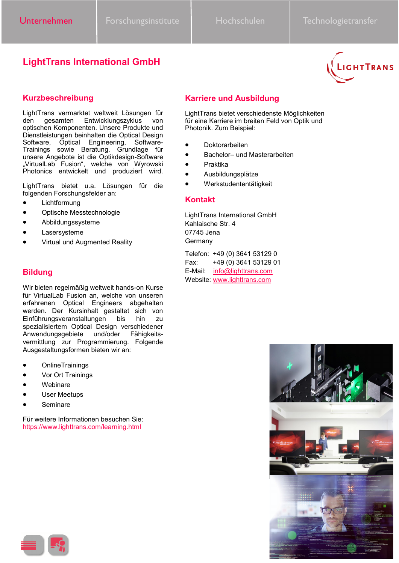# **LightTrans International GmbH**



### **Kurzbeschreibung**

LightTrans vermarktet weltweit Lösungen für gesamten Entwicklungszyklus von optischen Komponenten. Unsere Produkte und Dienstleistungen beinhalten die Optical Design Software, Optical Engineering, Software-Trainings sowie Beratung. Grundlage für unsere Angebote ist die Optikdesign-Software "VirtualLab Fusion", welche von Wyrowski Photonics entwickelt und produziert wird.

LightTrans bietet u.a. Lösungen für die folgenden Forschungsfelder an:

- **Lichtformung**
- Optische Messtechnologie
- Abbildungssysteme
- **Lasersysteme**
- Virtual und Augmented Reality

### **Bildung**

Wir bieten regelmäßig weltweit hands-on Kurse für VirtualLab Fusion an, welche von unseren erfahrenen Optical Engineers abgehalten werden. Der Kursinhalt gestaltet sich von Einführungsveranstaltungen bis hin zu spezialisiertem Optical Design verschiedener Anwendungsgebiete und/oder Fähigkeitsvermittlung zur Programmierung. Folgende Ausgestaltungsformen bieten wir an:

- OnlineTrainings
- Vor Ort Trainings
- **Webinare**
- User Meetups
- **Seminare**

Für weitere Informationen besuchen Sie: <https://www.lighttrans.com/learning.html>

# **Karriere und Ausbildung**

LightTrans bietet verschiedenste Möglichkeiten für eine Karriere im breiten Feld von Optik und Photonik. Zum Beispiel:

- Doktorarbeiten
- Bachelor– und Masterarbeiten
- Praktika
- Ausbildungsplätze
- Werkstudententätigkeit

### **Kontakt**

LightTrans International GmbH Kahlaische Str. 4 07745 Jena Germany

Telefon: +49 (0) 3641 53129 0 Fax: +49 (0) 3641 53129 01 E-Mail: [info@lighttrans.com](mailto:info@lightrans.com) Website: [www.lighttrans.com](http://www.lighttrans.com)